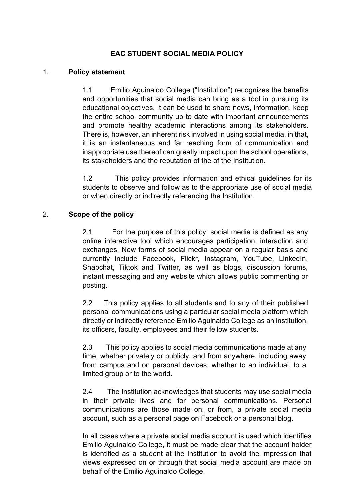# **EAC STUDENT SOCIAL MEDIA POLICY**

## 1. **Policy statement**

1.1 Emilio Aguinaldo College ("Institution") recognizes the benefits and opportunities that social media can bring as a tool in pursuing its educational objectives. It can be used to share news, information, keep the entire school community up to date with important announcements and promote healthy academic interactions among its stakeholders. There is, however, an inherent risk involved in using social media, in that, it is an instantaneous and far reaching form of communication and inappropriate use thereof can greatly impact upon the school operations, its stakeholders and the reputation of the of the Institution.

1.2 This policy provides information and ethical guidelines for its students to observe and follow as to the appropriate use of social media or when directly or indirectly referencing the Institution.

## 2. **Scope of the policy**

2.1 For the purpose of this policy, social media is defined as any online interactive tool which encourages participation, interaction and exchanges. New forms of social media appear on a regular basis and currently include Facebook, Flickr, Instagram, YouTube, LinkedIn, Snapchat, Tiktok and Twitter, as well as blogs, discussion forums, instant messaging and any website which allows public commenting or posting.

2.2 This policy applies to all students and to any of their published personal communications using a particular social media platform which directly or indirectly reference Emilio Aguinaldo College as an institution, its officers, faculty, employees and their fellow students.

2.3 This policy applies to social media communications made at any time, whether privately or publicly, and from anywhere, including away from campus and on personal devices, whether to an individual, to a limited group or to the world.

2.4 The Institution acknowledges that students may use social media in their private lives and for personal communications. Personal communications are those made on, or from, a private social media account, such as a personal page on Facebook or a personal blog.

In all cases where a private social media account is used which identifies Emilio Aguinaldo College, it must be made clear that the account holder is identified as a student at the Institution to avoid the impression that views expressed on or through that social media account are made on behalf of the Emilio Aguinaldo College.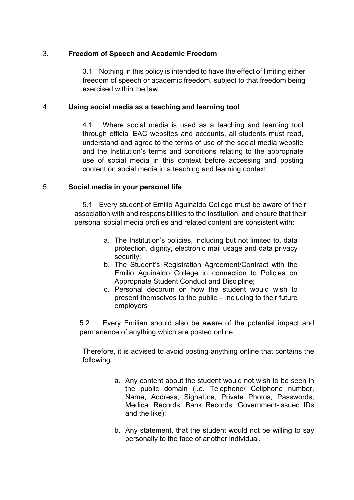# 3. **Freedom of Speech and Academic Freedom**

3.1 Nothing in this policy is intended to have the effect of limiting either freedom of speech or academic freedom, subject to that freedom being exercised within the law.

## 4. **Using social media as a teaching and learning tool**

4.1 Where social media is used as a teaching and learning tool through official EAC websites and accounts, all students must read, understand and agree to the terms of use of the social media website and the Institution's terms and conditions relating to the appropriate use of social media in this context before accessing and posting content on social media in a teaching and learning context.

# 5. **Social media in your personal life**

5.1 Every student of Emilio Aguinaldo College must be aware of their association with and responsibilities to the Institution, and ensure that their personal social media profiles and related content are consistent with:

- a. The Institution's policies, including but not limited to, data protection, dignity, electronic mail usage and data privacy security;
- b. The Student's Registration Agreement/Contract with the Emilio Aguinaldo College in connection to Policies on Appropriate Student Conduct and Discipline;
- c. Personal decorum on how the student would wish to present themselves to the public – including to their future employers

5.2 Every Emilian should also be aware of the potential impact and permanence of anything which are posted online.

Therefore, it is advised to avoid posting anything online that contains the following:

- a. Any content about the student would not wish to be seen in the public domain (i.e. Telephone/ Cellphone number, Name, Address, Signature, Private Photos, Passwords, Medical Records, Bank Records, Government-issued IDs and the like);
- b. Any statement, that the student would not be willing to say personally to the face of another individual.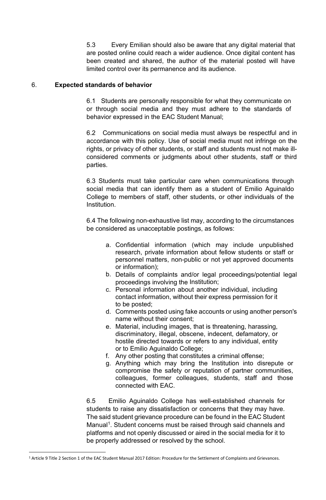5.3 Every Emilian should also be aware that any digital material that are posted online could reach a wider audience. Once digital content has been created and shared, the author of the material posted will have limited control over its permanence and its audience.

# 6. **Expected standards of behavior**

6.1 Students are personally responsible for what they communicate on or through social media and they must adhere to the standards of behavior expressed in the EAC Student Manual;

6.2 Communications on social media must always be respectful and in accordance with this policy. Use of social media must not infringe on the rights, or privacy of other students, or staff and students must not make illconsidered comments or judgments about other students, staff or third parties.

6.3 Students must take particular care when communications through social media that can identify them as a student of Emilio Aguinaldo College to members of staff, other students, or other individuals of the Institution.

6.4 The following non-exhaustive list may, according to the circumstances be considered as unacceptable postings, as follows:

- a. Confidential information (which may include unpublished research, private information about fellow students or staff or personnel matters, non-public or not yet approved documents or information);
- b. Details of complaints and/or legal proceedings/potential legal proceedings involving the Institution;
- c. Personal information about another individual, including contact information, without their express permission for it to be posted;
- d. Comments posted using fake accounts or using another person's name without their consent;
- e. Material, including images, that is threatening, harassing, discriminatory, illegal, obscene, indecent, defamatory, or hostile directed towards or refers to any individual, entity or to Emilio Aguinaldo College;
- f. Any other posting that constitutes a criminal offense;
- g. Anything which may bring the Institution into disrepute or compromise the safety or reputation of partner communities, colleagues, former colleagues, students, staff and those connected with EAC.

6.5 Emilio Aguinaldo College has well-established channels for students to raise any dissatisfaction or concerns that they may have. The said student grievance procedure can be found in the EAC Student Manual<sup>[1](#page-2-0)</sup>. Student concerns must be raised through said channels and platforms and not openly discussed or aired in the social media for it to be properly addressed or resolved by the school.

<span id="page-2-0"></span><sup>1</sup> Article 9 Title 2 Section 1 of the EAC Student Manual 2017 Edition: Procedure for the Settlement of Complaints and Grievances.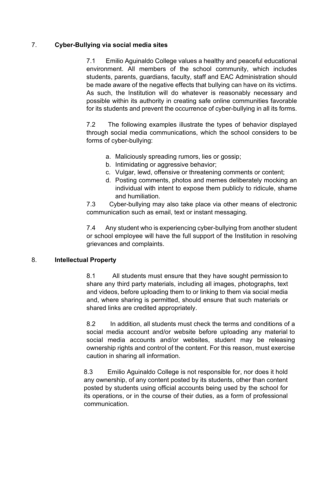# 7. **Cyber-Bullying via social media sites**

7.1 Emilio Aguinaldo College values a healthy and peaceful educational environment. All members of the school community, which includes students, parents, guardians, faculty, staff and EAC Administration should be made aware of the negative effects that bullying can have on its victims. As such, the Institution will do whatever is reasonably necessary and possible within its authority in creating safe online communities favorable for its students and prevent the occurrence of cyber-bullying in all its forms.

7.2 The following examples illustrate the types of behavior displayed through social media communications, which the school considers to be forms of cyber-bullying:

- a. Maliciously spreading rumors, lies or gossip;
- b. Intimidating or aggressive behavior;
- c. Vulgar, lewd, offensive or threatening comments or content;
- d. Posting comments, photos and memes deliberately mocking an individual with intent to expose them publicly to ridicule, shame and humiliation.

7.3 Cyber-bullying may also take place via other means of electronic communication such as email, text or instant messaging.

7.4 Any student who is experiencing cyber-bullying from another student or school employee will have the full support of the Institution in resolving grievances and complaints.

# 8. **Intellectual Property**

8.1 All students must ensure that they have sought permission to share any third party materials, including all images, photographs, text and videos, before uploading them to or linking to them via social media and, where sharing is permitted, should ensure that such materials or shared links are credited appropriately.

8.2 In addition, all students must check the terms and conditions of a social media account and/or website before uploading any material to social media accounts and/or websites, student may be releasing ownership rights and control of the content. For this reason, must exercise caution in sharing all information.

8.3 Emilio Aguinaldo College is not responsible for, nor does it hold any ownership, of any content posted by its students, other than content posted by students using official accounts being used by the school for its operations, or in the course of their duties, as a form of professional communication.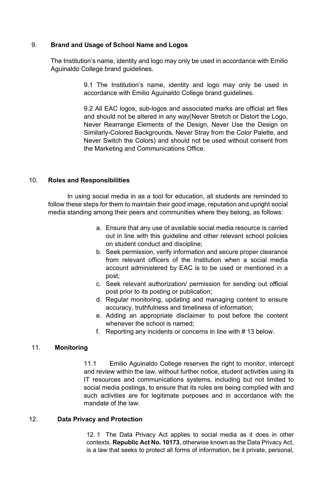# 9. **Brand and Usage of School Name and Logos**

The Institution's name, identity and logo may only be used in accordance with Emilio Aguinaldo College brand guidelines.

> 9.1 The Institution's name, identity and logo may only be used in accordance with Emilio Aguinaldo College brand guidelines.

> 9.2 All EAC logos, sub-logos and associated marks are official art files and should not be altered in any way(Never Stretch or Distort the Logo, Never Rearrange Elements of the Design, Never Use the Design on Similarly-Colored Backgrounds, Never Stray from the Color Palette, and Never Switch the Colors) and should not be used without consent from the Marketing and Communications Office.

# 10. **Roles and Responsibilities**

In using social media in as a tool for education, all students are reminded to follow these steps for them to maintain their good image, reputation and upright social media standing among their peers and communities where they belong, as follows:

- a. Ensure that any use of available social media resource is carried out in line with this guideline and other relevant school policies on student conduct and discipline;
- b. Seek permission, verify information and secure proper clearance from relevant officers of the Institution when a social media account administered by EAC is to be used or mentioned in a post;
- c. Seek relevant authorization/ permission for sending out official post prior to its posting or publication;
- d. Regular monitoring, updating and managing content to ensure accuracy, truthfulness and timeliness of information;
- e. Adding an appropriate disclaimer to post before the content whenever the school is named;
- f. Reporting any incidents or concerns in line with # 13 below.

# 11. **Monitoring**

11.1 Emilio Aguinaldo College reserves the right to monitor, intercept and review within the law, without further notice, student activities using its IT resources and communications systems, including but not limited to social media postings, to ensure that its rules are being complied with and such activities are for legitimate purposes and in accordance with the mandate of the law.

#### 12. **Data Privacy and Protection**

12. 1 The Data Privacy Act applies to social media as it does in other contexts. **Republic Act No. 10173**, otherwise known as the Data Privacy Act, is a law that seeks to protect all forms of information, be it private, personal,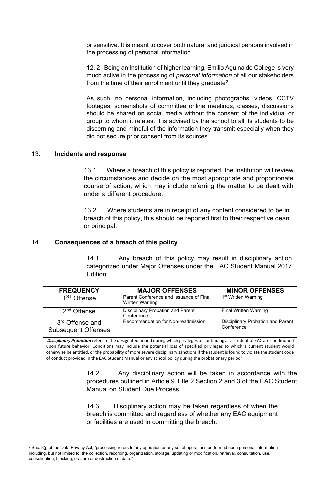or sensitive. It is meant to cover both natural and juridical persons involved in the processing of personal information.

12. 2 Being an Institution of higher learning, Emilio Aguinaldo College is very much active in the processing of *personal information* of all our stakeholders from the time of their enrollment until they graduate<sup>2</sup>.

As such, no personal information, including photographs, videos, CCTV footages, screenshots of committee online meetings, classes, discussions should be shared on social media without the consent of the individual or group to whom it relates. It is advised by the school to all its students to be discerning and mindful of the information they transmit especially when they did not secure prior consent from its sources.

#### 13. **Incidents and response**

13.1 Where a breach of this policy is reported, the Institution will review the circumstances and decide on the most appropriate and proportionate course of action, which may include referring the matter to be dealt with under a different procedure.

13.2 Where students are in receipt of any content considered to be in breach of this policy, this should be reported first to their respective dean or principal.

#### 14. **Consequences of a breach of this policy**

14.1 Any breach of this policy may result in disciplinary action categorized under Major Offenses under the EAC Student Manual 2017 Edition.

| <b>FREQUENCY</b>                                          | <b>MAJOR OFFENSES</b>                                             | <b>MINOR OFFENSES</b>                           |
|-----------------------------------------------------------|-------------------------------------------------------------------|-------------------------------------------------|
| $1ST$ Offense                                             | Parent Conference and Issuance of Final<br><b>Written Warning</b> | 1 <sup>st</sup> Written Warning                 |
| 2 <sup>nd</sup> Offense                                   | Disciplinary Probation and Parent<br>Conference                   | Final Written Warning                           |
| 3 <sup>rd</sup> Offense and<br><b>Subsequent Offenses</b> | Recommendation for Non-readmission                                | Disciplinary Probation and Parent<br>Conference |

*Disciplinary Probation* refers to the designated period during which privileges of continuing as a student of EAC are conditioned upon future behavior. Conditions may include the potential loss of specified privileges to which a current student would otherwise be entitled, or the probability of more severe disciplinary sanctions if the student is found to violate the student code of conduct provided in the EAC Student Manual or any school policy during the probationary period"

> 14.2 Any disciplinary action will be taken in accordance with the procedures outlined in Article 9 Title 2 Section 2 and 3 of the EAC Student Manual on Student Due Process.

14.3 Disciplinary action may be taken regardless of when the breach is committed and regardless of whether any EAC equipment or facilities are used in committing the breach.

<span id="page-5-0"></span><sup>&</sup>lt;sup>2</sup> Sec. 3(j) of the Data Privacy Act, "processing refers to any operation or any set of operations performed upon personal information including, but not limited to, the collection, recording, organization, storage, updating or modification, retrieval, consultation, use, consolidation, blocking, erasure or destruction of data."